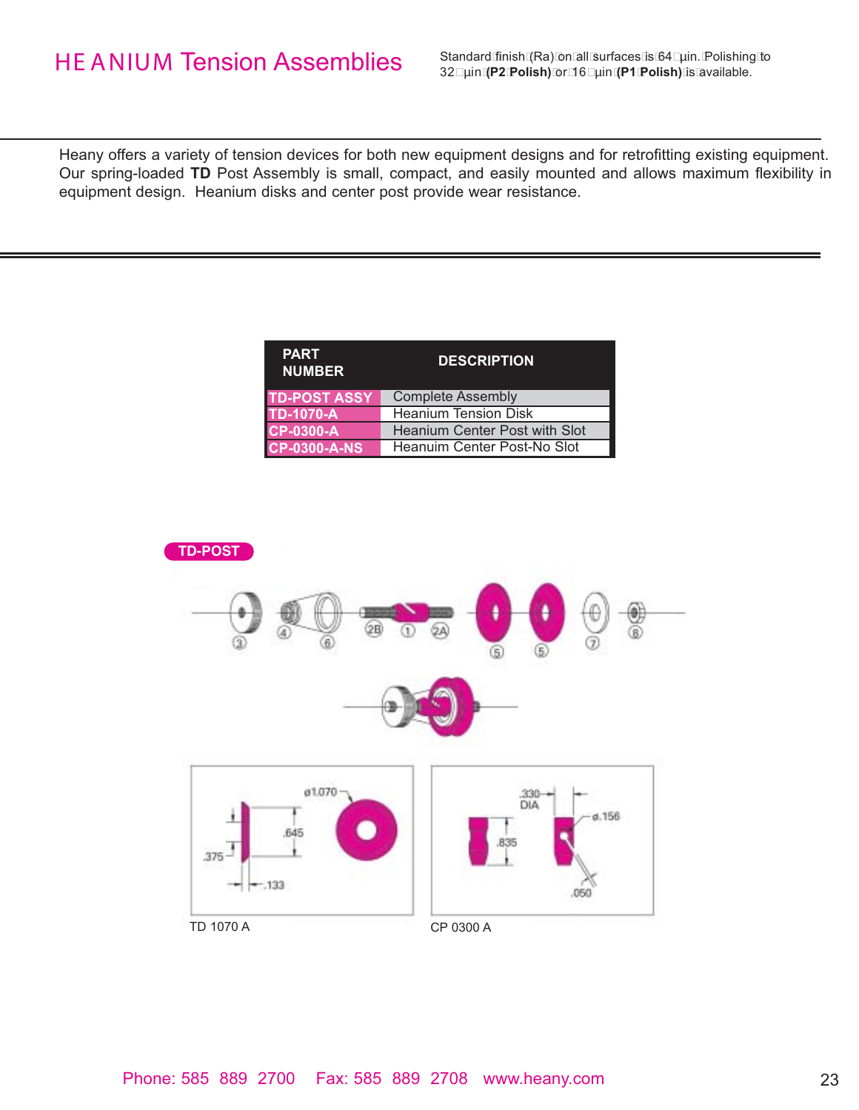Standard finish (Ra) on all surfaces is 64 µin. Polishing to 32 µin **(P2 Polish)** or 16 µin **(P1 Polish)** is available.

Heany offers a variety of tension devices for both new equipment designs and for retrofitting existing equipment. Our spring-loaded **TD** Post Assembly is small, compact, and easily mounted and allows maximum flexibility in equipment design. Heanium disks and center post provide wear resistance.

| <b>PART</b><br><b>NUMBER</b> | <b>DESCRIPTION</b>                   |
|------------------------------|--------------------------------------|
| <b>TD-POST ASSY</b>          | <b>Complete Assembly</b>             |
| <b>TD-1070-A</b>             | <b>Heanium Tension Disk</b>          |
| <b>CP-0300-A</b>             | <b>Heanium Center Post with Slot</b> |
| <b>CP-0300-A-NS</b>          | Heanuim Center Post-No Slot          |